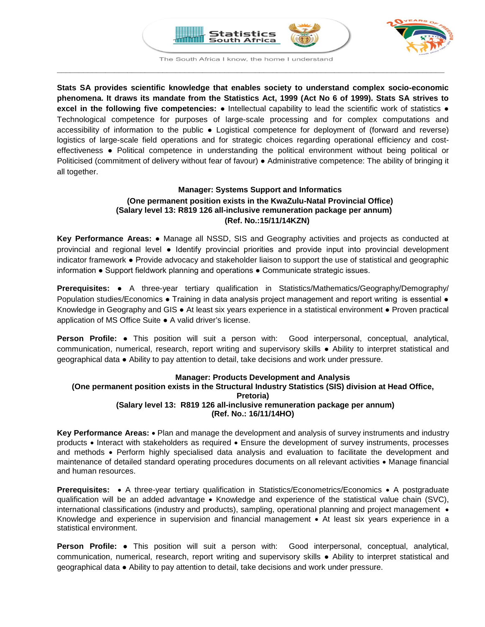



The South Africa I know, the home I understand **\_\_\_\_\_\_\_\_\_\_\_\_\_\_\_\_\_\_\_\_\_\_\_\_\_\_\_\_\_\_\_\_\_\_\_\_\_\_\_\_\_\_\_\_\_\_\_\_\_\_\_\_\_\_\_\_\_\_\_\_\_\_\_\_\_\_\_\_\_\_\_\_\_\_\_\_\_\_\_\_\_\_\_\_\_\_\_\_**

**Stats SA provides scientific knowledge that enables society to understand complex socio-economic phenomena. It draws its mandate from the Statistics Act, 1999 (Act No 6 of 1999). Stats SA strives to excel in the following five competencies:** ● Intellectual capability to lead the scientific work of statistics ● Technological competence for purposes of large-scale processing and for complex computations and accessibility of information to the public ● Logistical competence for deployment of (forward and reverse) logistics of large-scale field operations and for strategic choices regarding operational efficiency and costeffectiveness ● Political competence in understanding the political environment without being political or Politicised (commitment of delivery without fear of favour) ● Administrative competence: The ability of bringing it all together.

# **Manager: Systems Support and Informatics (One permanent position exists in the KwaZulu-Natal Provincial Office) (Salary level 13: R819 126 all-inclusive remuneration package per annum) (Ref. No.:15/11/14KZN)**

**Key Performance Areas:** ● Manage all NSSD, SIS and Geography activities and projects as conducted at provincial and regional level ● Identify provincial priorities and provide input into provincial development indicator framework ● Provide advocacy and stakeholder liaison to support the use of statistical and geographic information ● Support fieldwork planning and operations ● Communicate strategic issues.

**Prerequisites:** • A three-year tertiary qualification in Statistics/Mathematics/Geography/Demography/ Population studies/Economics • Training in data analysis project management and report writing is essential • Knowledge in Geography and GIS ● At least six years experience in a statistical environment ● Proven practical application of MS Office Suite ● A valid driver's license.

**Person Profile:** ● This position will suit a person with: Good interpersonal, conceptual, analytical, communication, numerical, research, report writing and supervisory skills ● Ability to interpret statistical and geographical data ● Ability to pay attention to detail, take decisions and work under pressure.

# **Manager: Products Development and Analysis**

# **(One permanent position exists in the Structural Industry Statistics (SIS) division at Head Office, Pretoria)**

# **(Salary level 13: R819 126 all-inclusive remuneration package per annum) (Ref. No.: 16/11/14HO)**

**Key Performance Areas:** • Plan and manage the development and analysis of survey instruments and industry products • Interact with stakeholders as required • Ensure the development of survey instruments, processes and methods • Perform highly specialised data analysis and evaluation to facilitate the development and maintenance of detailed standard operating procedures documents on all relevant activities • Manage financial and human resources.

**Prerequisites:** • A three-year tertiary qualification in Statistics/Econometrics/Economics • A postgraduate qualification will be an added advantage • Knowledge and experience of the statistical value chain (SVC), international classifications (industry and products), sampling, operational planning and project management • Knowledge and experience in supervision and financial management • At least six years experience in a statistical environment.

**Person Profile:** ● This position will suit a person with: Good interpersonal, conceptual, analytical, communication, numerical, research, report writing and supervisory skills ● Ability to interpret statistical and geographical data ● Ability to pay attention to detail, take decisions and work under pressure.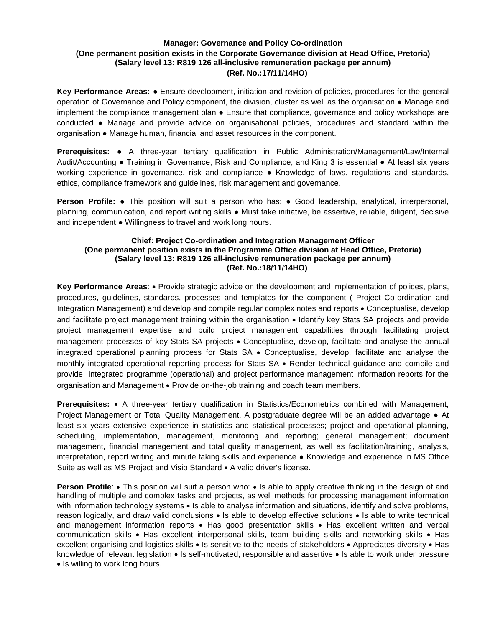# **Manager: Governance and Policy Co-ordination (One permanent position exists in the Corporate Governance division at Head Office, Pretoria) (Salary level 13: R819 126 all-inclusive remuneration package per annum) (Ref. No.:17/11/14HO)**

**Key Performance Areas:** ● Ensure development, initiation and revision of policies, procedures for the general operation of Governance and Policy component, the division, cluster as well as the organisation ● Manage and implement the compliance management plan ● Ensure that compliance, governance and policy workshops are conducted ● Manage and provide advice on organisational policies, procedures and standard within the organisation ● Manage human, financial and asset resources in the component.

**Prerequisites:** ● A three-year tertiary qualification in Public Administration/Management/Law/Internal Audit/Accounting ● Training in Governance, Risk and Compliance, and King 3 is essential ● At least six years working experience in governance, risk and compliance ● Knowledge of laws, regulations and standards, ethics, compliance framework and guidelines, risk management and governance.

**Person Profile: •** This position will suit a person who has: • Good leadership, analytical, interpersonal, planning, communication, and report writing skills ● Must take initiative, be assertive, reliable, diligent, decisive and independent ● Willingness to travel and work long hours.

#### **Chief: Project Co-ordination and Integration Management Officer (One permanent position exists in the Programme Office division at Head Office, Pretoria) (Salary level 13: R819 126 all-inclusive remuneration package per annum) (Ref. No.:18/11/14HO)**

**Key Performance Areas**: • Provide strategic advice on the development and implementation of polices, plans, procedures, guidelines, standards, processes and templates for the component ( Project Co-ordination and Integration Management) and develop and compile regular complex notes and reports • Conceptualise, develop and facilitate project management training within the organisation • Identify key Stats SA projects and provide project management expertise and build project management capabilities through facilitating project management processes of key Stats SA projects • Conceptualise, develop, facilitate and analyse the annual integrated operational planning process for Stats SA • Conceptualise, develop, facilitate and analyse the monthly integrated operational reporting process for Stats SA • Render technical guidance and compile and provide integrated programme (operational) and project performance management information reports for the organisation and Management • Provide on-the-job training and coach team members.

**Prerequisites:** • A three-year tertiary qualification in Statistics/Econometrics combined with Management, Project Management or Total Quality Management. A postgraduate degree will be an added advantage ● At least six years extensive experience in statistics and statistical processes; project and operational planning, scheduling, implementation, management, monitoring and reporting; general management; document management, financial management and total quality management, as well as facilitation/training, analysis, interpretation, report writing and minute taking skills and experience ● Knowledge and experience in MS Office Suite as well as MS Project and Visio Standard • A valid driver's license.

**Person Profile:** • This position will suit a person who: • Is able to apply creative thinking in the design of and handling of multiple and complex tasks and projects, as well methods for processing management information with information technology systems • Is able to analyse information and situations, identify and solve problems, reason logically, and draw valid conclusions • Is able to develop effective solutions • Is able to write technical and management information reports • Has good presentation skills • Has excellent written and verbal communication skills • Has excellent interpersonal skills, team building skills and networking skills • Has excellent organising and logistics skills • Is sensitive to the needs of stakeholders • Appreciates diversity • Has knowledge of relevant legislation • Is self-motivated, responsible and assertive • Is able to work under pressure • Is willing to work long hours.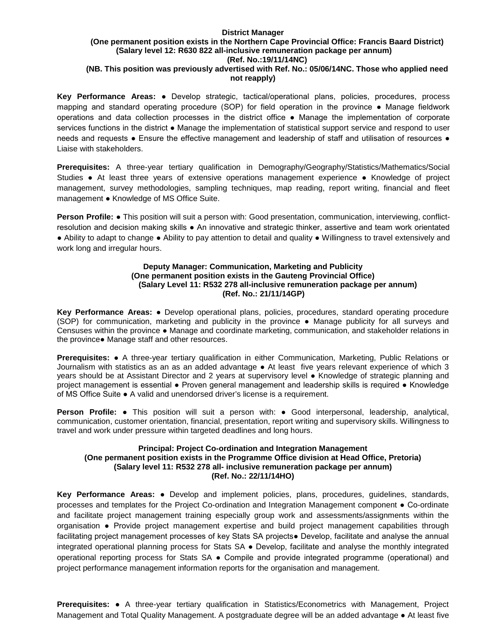#### **District Manager (One permanent position exists in the Northern Cape Provincial Office: Francis Baard District) (Salary level 12: R630 822 all-inclusive remuneration package per annum) (Ref. No.:19/11/14NC) (NB. This position was previously advertised with Ref. No.: 05/06/14NC. Those who applied need**

# **not reapply)**

**Key Performance Areas:** ● Develop strategic, tactical/operational plans, policies, procedures, process mapping and standard operating procedure (SOP) for field operation in the province ● Manage fieldwork operations and data collection processes in the district office ● Manage the implementation of corporate services functions in the district ● Manage the implementation of statistical support service and respond to user needs and requests • Ensure the effective management and leadership of staff and utilisation of resources • Liaise with stakeholders.

**Prerequisites:** A three-year tertiary qualification in Demography/Geography/Statistics/Mathematics/Social Studies ● At least three years of extensive operations management experience ● Knowledge of project management, survey methodologies, sampling techniques, map reading, report writing, financial and fleet management ● Knowledge of MS Office Suite.

**Person Profile:** ● This position will suit a person with: Good presentation, communication, interviewing, conflictresolution and decision making skills ● An innovative and strategic thinker, assertive and team work orientated ● Ability to adapt to change ● Ability to pay attention to detail and quality ● Willingness to travel extensively and work long and irregular hours.

#### **Deputy Manager: Communication, Marketing and Publicity (One permanent position exists in the Gauteng Provincial Office) (Salary Level 11: R532 278 all-inclusive remuneration package per annum) (Ref. No.: 21/11/14GP)**

**Key Performance Areas:** ● Develop operational plans, policies, procedures, standard operating procedure (SOP) for communication, marketing and publicity in the province ● Manage publicity for all surveys and Censuses within the province ● Manage and coordinate marketing, communication, and stakeholder relations in the province● Manage staff and other resources.

**Prerequisites:** ● A three-year tertiary qualification in either Communication, Marketing, Public Relations or Journalism with statistics as an as an added advantage ● At least five years relevant experience of which 3 years should be at Assistant Director and 2 years at supervisory level ● Knowledge of strategic planning and project management is essential • Proven general management and leadership skills is required • Knowledge of MS Office Suite ● A valid and unendorsed driver's license is a requirement.

**Person Profile:** ● This position will suit a person with: ● Good interpersonal, leadership, analytical, communication, customer orientation, financial, presentation, report writing and supervisory skills. Willingness to travel and work under pressure within targeted deadlines and long hours.

#### **Principal: Project Co-ordination and Integration Management (One permanent position exists in the Programme Office division at Head Office, Pretoria) (Salary level 11: R532 278 all- inclusive remuneration package per annum) (Ref. No.: 22/11/14HO)**

**Key Performance Areas:** ● Develop and implement policies, plans, procedures, guidelines, standards, processes and templates for the Project Co-ordination and Integration Management component ● Co-ordinate and facilitate project management training especially group work and assessments/assignments within the organisation ● Provide project management expertise and build project management capabilities through facilitating project management processes of key Stats SA projects● Develop, facilitate and analyse the annual integrated operational planning process for Stats SA ● Develop, facilitate and analyse the monthly integrated operational reporting process for Stats SA ● Compile and provide integrated programme (operational) and project performance management information reports for the organisation and management.

**Prerequisites:** ● A three-year tertiary qualification in Statistics/Econometrics with Management, Project Management and Total Quality Management. A postgraduate degree will be an added advantage ● At least five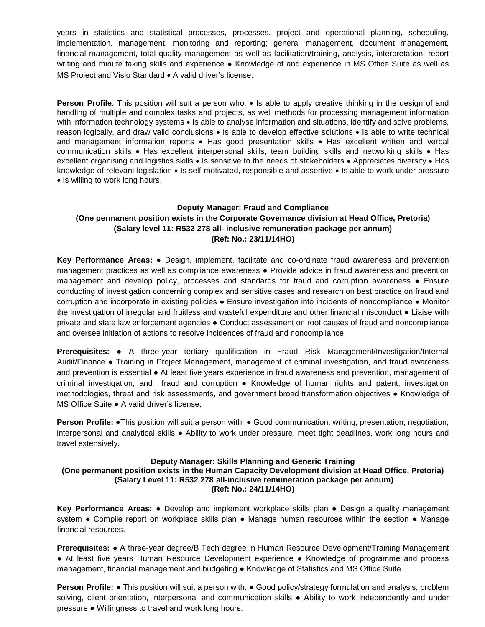years in statistics and statistical processes, processes, project and operational planning, scheduling, implementation, management, monitoring and reporting; general management, document management, financial management, total quality management as well as facilitation/training, analysis, interpretation, report writing and minute taking skills and experience ● Knowledge of and experience in MS Office Suite as well as MS Project and Visio Standard • A valid driver's license.

**Person Profile**: This position will suit a person who: • Is able to apply creative thinking in the design of and handling of multiple and complex tasks and projects, as well methods for processing management information with information technology systems • Is able to analyse information and situations, identify and solve problems, reason logically, and draw valid conclusions • Is able to develop effective solutions • Is able to write technical and management information reports • Has good presentation skills • Has excellent written and verbal communication skills • Has excellent interpersonal skills, team building skills and networking skills • Has excellent organising and logistics skills • Is sensitive to the needs of stakeholders • Appreciates diversity • Has knowledge of relevant legislation • Is self-motivated, responsible and assertive • Is able to work under pressure • Is willing to work long hours.

# **Deputy Manager: Fraud and Compliance (One permanent position exists in the Corporate Governance division at Head Office, Pretoria) (Salary level 11: R532 278 all- inclusive remuneration package per annum) (Ref: No.: 23/11/14HO)**

**Key Performance Areas:** ● Design, implement, facilitate and co-ordinate fraud awareness and prevention management practices as well as compliance awareness ● Provide advice in fraud awareness and prevention management and develop policy, processes and standards for fraud and corruption awareness ● Ensure conducting of investigation concerning complex and sensitive cases and research on best practice on fraud and corruption and incorporate in existing policies ● Ensure investigation into incidents of noncompliance ● Monitor the investigation of irregular and fruitless and wasteful expenditure and other financial misconduct ● Liaise with private and state law enforcement agencies ● Conduct assessment on root causes of fraud and noncompliance and oversee initiation of actions to resolve incidences of fraud and noncompliance.

**Prerequisites:** ● A three-year tertiary qualification in Fraud Risk Management/Investigation/Internal Audit/Finance ● Training in Project Management, management of criminal investigation, and fraud awareness and prevention is essential ● At least five years experience in fraud awareness and prevention, management of criminal investigation, and fraud and corruption ● Knowledge of human rights and patent, investigation methodologies, threat and risk assessments, and government broad transformation objectives ● Knowledge of MS Office Suite ● A valid driver's license.

**Person Profile: •**This position will suit a person with: • Good communication, writing, presentation, negotiation, interpersonal and analytical skills ● Ability to work under pressure, meet tight deadlines, work long hours and travel extensively.

#### **Deputy Manager: Skills Planning and Generic Training (One permanent position exists in the Human Capacity Development division at Head Office, Pretoria) (Salary Level 11: R532 278 all-inclusive remuneration package per annum) (Ref: No.: 24/11/14HO)**

**Key Performance Areas:** ● Develop and implement workplace skills plan ● Design a quality management system • Compile report on workplace skills plan • Manage human resources within the section • Manage financial resources.

**Prerequisites:** ● A three-year degree/B Tech degree in Human Resource Development/Training Management ● At least five years Human Resource Development experience ● Knowledge of programme and process management, financial management and budgeting ● Knowledge of Statistics and MS Office Suite.

**Person Profile: •** This position will suit a person with: • Good policy/strategy formulation and analysis, problem solving, client orientation, interpersonal and communication skills • Ability to work independently and under pressure ● Willingness to travel and work long hours.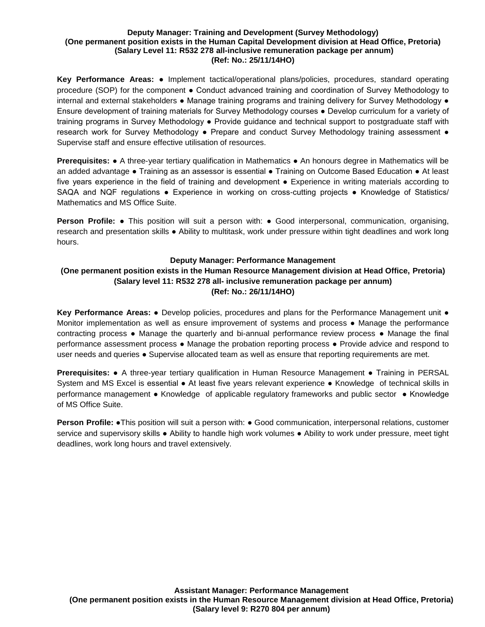#### **Deputy Manager: Training and Development (Survey Methodology) (One permanent position exists in the Human Capital Development division at Head Office, Pretoria) (Salary Level 11: R532 278 all-inclusive remuneration package per annum) (Ref: No.: 25/11/14HO)**

**Key Performance Areas:** ● Implement tactical/operational plans/policies, procedures, standard operating procedure (SOP) for the component ● Conduct advanced training and coordination of Survey Methodology to internal and external stakeholders • Manage training programs and training delivery for Survey Methodology • Ensure development of training materials for Survey Methodology courses ● Develop curriculum for a variety of training programs in Survey Methodology ● Provide guidance and technical support to postgraduate staff with research work for Survey Methodology ● Prepare and conduct Survey Methodology training assessment ● Supervise staff and ensure effective utilisation of resources.

**Prerequisites: ●** A three-year tertiary qualification in Mathematics ● An honours degree in Mathematics will be an added advantage ● Training as an assessor is essential ● Training on Outcome Based Education ● At least five years experience in the field of training and development ● Experience in writing materials according to SAQA and NQF regulations • Experience in working on cross-cutting projects • Knowledge of Statistics/ Mathematics and MS Office Suite.

**Person Profile: •** This position will suit a person with: • Good interpersonal, communication, organising, research and presentation skills ● Ability to multitask, work under pressure within tight deadlines and work long hours.

#### **Deputy Manager: Performance Management**

# **(One permanent position exists in the Human Resource Management division at Head Office, Pretoria) (Salary level 11: R532 278 all- inclusive remuneration package per annum) (Ref: No.: 26/11/14HO)**

**Key Performance Areas:** ● Develop policies, procedures and plans for the Performance Management unit ● Monitor implementation as well as ensure improvement of systems and process ● Manage the performance contracting process • Manage the quarterly and bi-annual performance review process • Manage the final performance assessment process ● Manage the probation reporting process ● Provide advice and respond to user needs and queries • Supervise allocated team as well as ensure that reporting requirements are met.

**Prerequisites:** ● A three-year tertiary qualification in Human Resource Management ● Training in PERSAL System and MS Excel is essential ● At least five years relevant experience ● Knowledge of technical skills in performance management ● Knowledge of applicable regulatory frameworks and public sector ● Knowledge of MS Office Suite.

**Person Profile:** ●This position will suit a person with: ● Good communication, interpersonal relations, customer service and supervisory skills ● Ability to handle high work volumes ● Ability to work under pressure, meet tight deadlines, work long hours and travel extensively.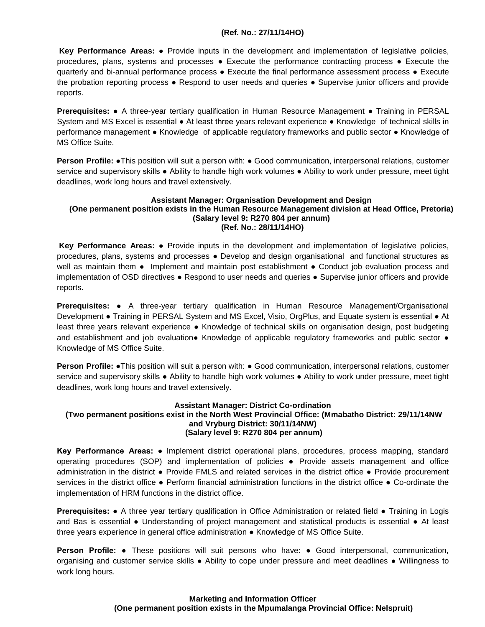#### **(Ref. No.: 27/11/14HO)**

**Key Performance Areas:** ● Provide inputs in the development and implementation of legislative policies, procedures, plans, systems and processes ● Execute the performance contracting process ● Execute the quarterly and bi-annual performance process ● Execute the final performance assessment process ● Execute the probation reporting process ● Respond to user needs and queries ● Supervise junior officers and provide reports.

**Prerequisites:** ● A three-year tertiary qualification in Human Resource Management ● Training in PERSAL System and MS Excel is essential ● At least three years relevant experience ● Knowledge of technical skills in performance management ● Knowledge of applicable regulatory frameworks and public sector ● Knowledge of MS Office Suite.

**Person Profile: •**This position will suit a person with: • Good communication, interpersonal relations, customer service and supervisory skills ● Ability to handle high work volumes ● Ability to work under pressure, meet tight deadlines, work long hours and travel extensively.

#### **Assistant Manager: Organisation Development and Design (One permanent position exists in the Human Resource Management division at Head Office, Pretoria) (Salary level 9: R270 804 per annum) (Ref. No.: 28/11/14HO)**

**Key Performance Areas:** ● Provide inputs in the development and implementation of legislative policies, procedures, plans, systems and processes ● Develop and design organisational and functional structures as well as maintain them • Implement and maintain post establishment • Conduct job evaluation process and implementation of OSD directives ● Respond to user needs and queries ● Supervise junior officers and provide reports.

**Prerequisites:** ● A three-year tertiary qualification in Human Resource Management/Organisational Development • Training in PERSAL System and MS Excel, Visio, OrgPlus, and Equate system is essential • At least three years relevant experience ● Knowledge of technical skills on organisation design, post budgeting and establishment and job evaluation● Knowledge of applicable regulatory frameworks and public sector ● Knowledge of MS Office Suite.

**Person Profile: •**This position will suit a person with: • Good communication, interpersonal relations, customer service and supervisory skills ● Ability to handle high work volumes ● Ability to work under pressure, meet tight deadlines, work long hours and travel extensively.

#### **Assistant Manager: District Co-ordination (Two permanent positions exist in the North West Provincial Office: (Mmabatho District: 29/11/14NW and Vryburg District: 30/11/14NW) (Salary level 9: R270 804 per annum)**

**Key Performance Areas: ●** Implement district operational plans, procedures, process mapping, standard operating procedures (SOP) and implementation of policies **●** Provide assets management and office administration in the district **●** Provide FMLS and related services in the district office **●** Provide procurement services in the district office **●** Perform financial administration functions in the district office **●** Co-ordinate the implementation of HRM functions in the district office.

**Prerequisites: ●** A three year tertiary qualification in Office Administration or related field **●** Training in Logis and Bas is essential **●** Understanding of project management and statistical products is essential **●** At least three years experience in general office administration **●** Knowledge of MS Office Suite.

**Person Profile: ●** These positions will suit persons who have: **●** Good interpersonal, communication, organising and customer service skills **●** Ability to cope under pressure and meet deadlines **●** Willingness to work long hours.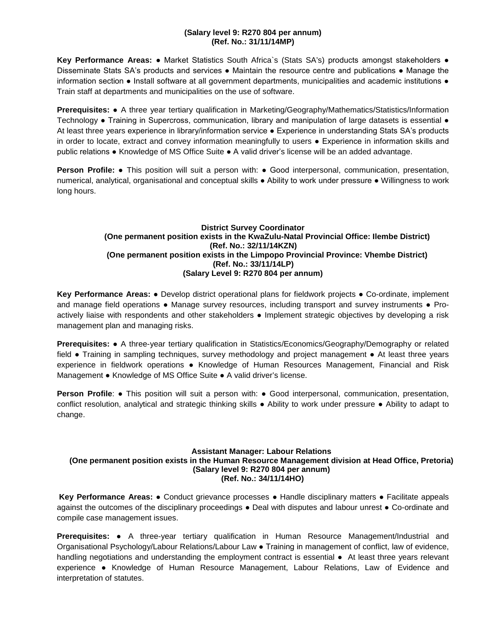#### **(Salary level 9: R270 804 per annum) (Ref. No.: 31/11/14MP)**

**Key Performance Areas:** ● Market Statistics South Africa`s (Stats SA's) products amongst stakeholders ● Disseminate Stats SA's products and services ● Maintain the resource centre and publications ● Manage the information section ● Install software at all government departments, municipalities and academic institutions ● Train staff at departments and municipalities on the use of software.

**Prerequisites:** ● A three year tertiary qualification in Marketing/Geography/Mathematics/Statistics/Information Technology ● Training in Supercross, communication, library and manipulation of large datasets is essential ● At least three years experience in library/information service ● Experience in understanding Stats SA's products in order to locate, extract and convey information meaningfully to users ● Experience in information skills and public relations ● Knowledge of MS Office Suite ● A valid driver's license will be an added advantage.

**Person Profile:** • This position will suit a person with: • Good interpersonal, communication, presentation, numerical, analytical, organisational and conceptual skills ● Ability to work under pressure ● Willingness to work long hours.

#### **District Survey Coordinator (One permanent position exists in the KwaZulu-Natal Provincial Office: Ilembe District) (Ref. No.: 32/11/14KZN) (One permanent position exists in the Limpopo Provincial Province: Vhembe District) (Ref. No.: 33/11/14LP) (Salary Level 9: R270 804 per annum)**

**Key Performance Areas:** ● Develop district operational plans for fieldwork projects ● Co-ordinate, implement and manage field operations • Manage survey resources, including transport and survey instruments • Proactively liaise with respondents and other stakeholders ● Implement strategic objectives by developing a risk management plan and managing risks.

**Prerequisites:** ● A three-year tertiary qualification in Statistics/Economics/Geography/Demography or related field ● Training in sampling techniques, survey methodology and project management ● At least three years experience in fieldwork operations ● Knowledge of Human Resources Management, Financial and Risk Management ● Knowledge of MS Office Suite ● A valid driver's license.

**Person Profile:** • This position will suit a person with: • Good interpersonal, communication, presentation, conflict resolution, analytical and strategic thinking skills ● Ability to work under pressure ● Ability to adapt to change.

#### **Assistant Manager: Labour Relations (One permanent position exists in the Human Resource Management division at Head Office, Pretoria) (Salary level 9: R270 804 per annum) (Ref. No.: 34/11/14HO)**

**Key Performance Areas:** ● Conduct grievance processes ● Handle disciplinary matters ● Facilitate appeals against the outcomes of the disciplinary proceedings ● Deal with disputes and labour unrest ● Co-ordinate and compile case management issues.

**Prerequisites:** ● A three-year tertiary qualification in Human Resource Management/Industrial and Organisational Psychology/Labour Relations/Labour Law ● Training in management of conflict, law of evidence, handling negotiations and understanding the employment contract is essential • At least three years relevant experience ● Knowledge of Human Resource Management, Labour Relations, Law of Evidence and interpretation of statutes.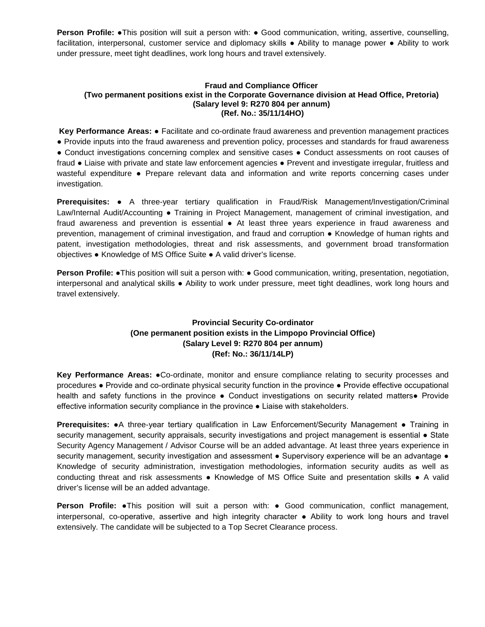**Person Profile:** •This position will suit a person with: • Good communication, writing, assertive, counselling, facilitation, interpersonal, customer service and diplomacy skills ● Ability to manage power ● Ability to work under pressure, meet tight deadlines, work long hours and travel extensively.

#### **Fraud and Compliance Officer (Two permanent positions exist in the Corporate Governance division at Head Office, Pretoria) (Salary level 9: R270 804 per annum) (Ref. No.: 35/11/14HO)**

**Key Performance Areas:** ● Facilitate and co-ordinate fraud awareness and prevention management practices ● Provide inputs into the fraud awareness and prevention policy, processes and standards for fraud awareness ● Conduct investigations concerning complex and sensitive cases ● Conduct assessments on root causes of fraud ● Liaise with private and state law enforcement agencies ● Prevent and investigate irregular, fruitless and wasteful expenditure ● Prepare relevant data and information and write reports concerning cases under investigation.

**Prerequisites:** ● A three-year tertiary qualification in Fraud/Risk Management/Investigation/Criminal Law/Internal Audit/Accounting • Training in Project Management, management of criminal investigation, and fraud awareness and prevention is essential ● At least three years experience in fraud awareness and prevention, management of criminal investigation, and fraud and corruption ● Knowledge of human rights and patent, investigation methodologies, threat and risk assessments, and government broad transformation objectives ● Knowledge of MS Office Suite ● A valid driver's license.

**Person Profile: •**This position will suit a person with: • Good communication, writing, presentation, negotiation, interpersonal and analytical skills ● Ability to work under pressure, meet tight deadlines, work long hours and travel extensively.

# **Provincial Security Co-ordinator (One permanent position exists in the Limpopo Provincial Office) (Salary Level 9: R270 804 per annum) (Ref: No.: 36/11/14LP)**

**Key Performance Areas:** ●Co-ordinate, monitor and ensure compliance relating to security processes and procedures ● Provide and co-ordinate physical security function in the province ● Provide effective occupational health and safety functions in the province • Conduct investigations on security related matters• Provide effective information security compliance in the province ● Liaise with stakeholders.

**Prerequisites:** ●A three-year tertiary qualification in Law Enforcement/Security Management ● Training in security management, security appraisals, security investigations and project management is essential • State Security Agency Management / Advisor Course will be an added advantage. At least three years experience in security management, security investigation and assessment • Supervisory experience will be an advantage • Knowledge of security administration, investigation methodologies, information security audits as well as conducting threat and risk assessments ● Knowledge of MS Office Suite and presentation skills ● A valid driver's license will be an added advantage.

**Person Profile:** ●This position will suit a person with: ● Good communication, conflict management, interpersonal, co-operative, assertive and high integrity character ● Ability to work long hours and travel extensively. The candidate will be subjected to a Top Secret Clearance process.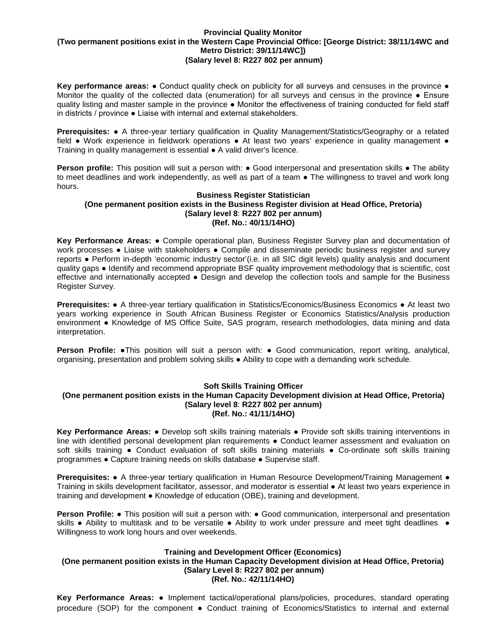#### **Provincial Quality Monitor (Two permanent positions exist in the Western Cape Provincial Office: [George District: 38/11/14WC and Metro District: 39/11/14WC]) (Salary level 8: R227 802 per annum)**

**Key performance areas: ●** Conduct quality check on publicity for all surveys and censuses in the province ● Monitor the quality of the collected data (enumeration) for all surveys and census in the province ● Ensure quality listing and master sample in the province ● Monitor the effectiveness of training conducted for field staff in districts / province ● Liaise with internal and external stakeholders.

**Prerequisites: ●** A three-year tertiary qualification in Quality Management/Statistics/Geography or a related field • Work experience in fieldwork operations • At least two years' experience in quality management • Training in quality management is essential ● A valid driver's licence.

**Person profile:** This position will suit a person with: • Good interpersonal and presentation skills • The ability to meet deadlines and work independently, as well as part of a team  $\bullet$  The willingness to travel and work long hours.

#### **Business Register Statistician (One permanent position exists in the Business Register division at Head Office, Pretoria) (Salary level 8**: **R227 802 per annum) (Ref. No.: 40/11/14HO)**

**Key Performance Areas:** ● Compile operational plan, Business Register Survey plan and documentation of work processes • Liaise with stakeholders • Compile and disseminate periodic business register and survey reports ● Perform in-depth 'economic industry sector'(i.e. in all SIC digit levels) quality analysis and document quality gaps ● Identify and recommend appropriate BSF quality improvement methodology that is scientific, cost effective and internationally accepted ● Design and develop the collection tools and sample for the Business Register Survey.

**Prerequisites:** ● A three-year tertiary qualification in Statistics/Economics/Business Economics ● At least two years working experience in South African Business Register or Economics Statistics/Analysis production environment ● Knowledge of MS Office Suite, SAS program, research methodologies, data mining and data interpretation.

**Person Profile:** ●This position will suit a person with: ● Good communication, report writing, analytical, organising, presentation and problem solving skills ● Ability to cope with a demanding work schedule.

#### **Soft Skills Training Officer**

#### **(One permanent position exists in the Human Capacity Development division at Head Office, Pretoria) (Salary level 8**: **R227 802 per annum) (Ref. No.: 41/11/14HO)**

**Key Performance Areas:** ● Develop soft skills training materials ● Provide soft skills training interventions in line with identified personal development plan requirements ● Conduct learner assessment and evaluation on soft skills training • Conduct evaluation of soft skills training materials • Co-ordinate soft skills training programmes ● Capture training needs on skills database ● Supervise staff.

**Prerequisites: •** A three-year tertiary qualification in Human Resource Development/Training Management • Training in skills development facilitator, assessor, and moderator is essential ● At least two years experience in training and development ● Knowledge of education (OBE), training and development.

**Person Profile:** • This position will suit a person with: • Good communication, interpersonal and presentation skills • Ability to multitask and to be versatile • Ability to work under pressure and meet tight deadlines • Willingness to work long hours and over weekends.

#### **Training and Development Officer (Economics)**

#### **(One permanent position exists in the Human Capacity Development division at Head Office, Pretoria) (Salary Level 8: R227 802 per annum) (Ref. No.: 42/11/14HO)**

**Key Performance Areas:** ● Implement tactical/operational plans/policies, procedures, standard operating procedure (SOP) for the component ● Conduct training of Economics/Statistics to internal and external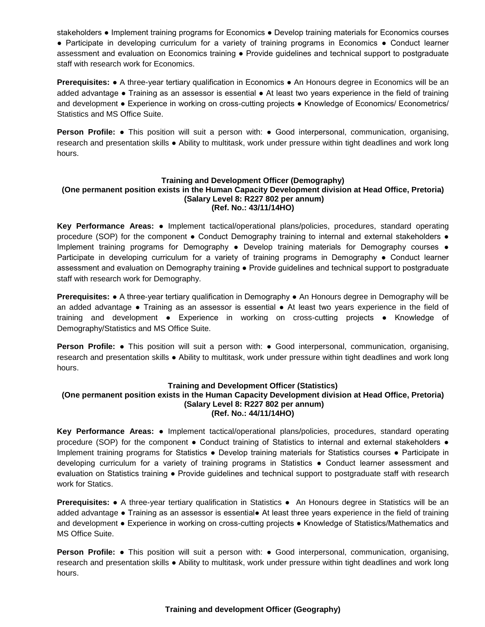stakeholders ● Implement training programs for Economics ● Develop training materials for Economics courses ● Participate in developing curriculum for a variety of training programs in Economics ● Conduct learner assessment and evaluation on Economics training ● Provide guidelines and technical support to postgraduate staff with research work for Economics.

**Prerequisites: •** A three-year tertiary qualification in Economics • An Honours degree in Economics will be an added advantage ● Training as an assessor is essential ● At least two years experience in the field of training and development ● Experience in working on cross-cutting projects ● Knowledge of Economics/ Econometrics/ Statistics and MS Office Suite.

**Person Profile: ●** This position will suit a person with: ● Good interpersonal, communication, organising, research and presentation skills ● Ability to multitask, work under pressure within tight deadlines and work long hours.

#### **Training and Development Officer (Demography) (One permanent position exists in the Human Capacity Development division at Head Office, Pretoria) (Salary Level 8: R227 802 per annum) (Ref. No.: 43/11/14HO)**

**Key Performance Areas:** ● Implement tactical/operational plans/policies, procedures, standard operating procedure (SOP) for the component • Conduct Demography training to internal and external stakeholders • Implement training programs for Demography • Develop training materials for Demography courses • Participate in developing curriculum for a variety of training programs in Demography ● Conduct learner assessment and evaluation on Demography training ● Provide guidelines and technical support to postgraduate staff with research work for Demography.

**Prerequisites: ●** A three-year tertiary qualification in Demography ● An Honours degree in Demography will be an added advantage ● Training as an assessor is essential ● At least two years experience in the field of training and development ● Experience in working on cross-cutting projects ● Knowledge of Demography/Statistics and MS Office Suite.

**Person Profile: ●** This position will suit a person with: ● Good interpersonal, communication, organising, research and presentation skills ● Ability to multitask, work under pressure within tight deadlines and work long hours.

# **Training and Development Officer (Statistics)**

#### **(One permanent position exists in the Human Capacity Development division at Head Office, Pretoria) (Salary Level 8: R227 802 per annum) (Ref. No.: 44/11/14HO)**

**Key Performance Areas:** ● Implement tactical/operational plans/policies, procedures, standard operating procedure (SOP) for the component • Conduct training of Statistics to internal and external stakeholders • Implement training programs for Statistics ● Develop training materials for Statistics courses ● Participate in developing curriculum for a variety of training programs in Statistics ● Conduct learner assessment and evaluation on Statistics training ● Provide guidelines and technical support to postgraduate staff with research work for Statics.

**Prerequisites:** ● A three-year tertiary qualification in Statistics ● An Honours degree in Statistics will be an added advantage ● Training as an assessor is essential● At least three years experience in the field of training and development ● Experience in working on cross-cutting projects ● Knowledge of Statistics/Mathematics and MS Office Suite.

**Person Profile: ●** This position will suit a person with: ● Good interpersonal, communication, organising, research and presentation skills ● Ability to multitask, work under pressure within tight deadlines and work long hours.

# **Training and development Officer (Geography)**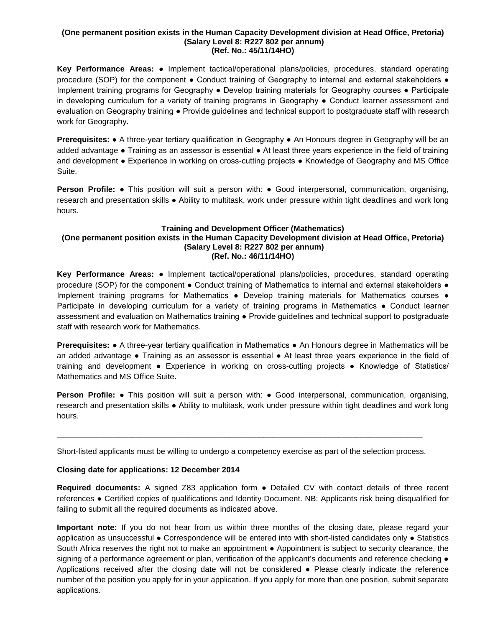#### **(One permanent position exists in the Human Capacity Development division at Head Office, Pretoria) (Salary Level 8: R227 802 per annum) (Ref. No.: 45/11/14HO)**

**Key Performance Areas:** ● Implement tactical/operational plans/policies, procedures, standard operating procedure (SOP) for the component • Conduct training of Geography to internal and external stakeholders • Implement training programs for Geography ● Develop training materials for Geography courses ● Participate in developing curriculum for a variety of training programs in Geography ● Conduct learner assessment and evaluation on Geography training ● Provide guidelines and technical support to postgraduate staff with research work for Geography.

**Prerequisites:** ● A three-year tertiary qualification in Geography ● An Honours degree in Geography will be an added advantage ● Training as an assessor is essential ● At least three years experience in the field of training and development ● Experience in working on cross-cutting projects ● Knowledge of Geography and MS Office Suite.

**Person Profile: •** This position will suit a person with: • Good interpersonal, communication, organising, research and presentation skills ● Ability to multitask, work under pressure within tight deadlines and work long hours.

#### **Training and Development Officer (Mathematics) (One permanent position exists in the Human Capacity Development division at Head Office, Pretoria) (Salary Level 8: R227 802 per annum) (Ref. No.: 46/11/14HO)**

**Key Performance Areas:** ● Implement tactical/operational plans/policies, procedures, standard operating procedure (SOP) for the component • Conduct training of Mathematics to internal and external stakeholders • Implement training programs for Mathematics • Develop training materials for Mathematics courses • Participate in developing curriculum for a variety of training programs in Mathematics • Conduct learner assessment and evaluation on Mathematics training ● Provide guidelines and technical support to postgraduate staff with research work for Mathematics.

**Prerequisites:** ● A three-year tertiary qualification in Mathematics ● An Honours degree in Mathematics will be an added advantage ● Training as an assessor is essential ● At least three years experience in the field of training and development ● Experience in working on cross-cutting projects ● Knowledge of Statistics/ Mathematics and MS Office Suite.

**Person Profile: •** This position will suit a person with: • Good interpersonal, communication, organising, research and presentation skills ● Ability to multitask, work under pressure within tight deadlines and work long hours.

Short-listed applicants must be willing to undergo a competency exercise as part of the selection process.

**\_\_\_\_\_\_\_\_\_\_\_\_\_\_\_\_\_\_\_\_\_\_\_\_\_\_\_\_\_\_\_\_\_\_\_\_\_\_\_\_\_\_\_\_\_\_\_\_\_\_\_\_\_\_\_\_\_\_\_\_\_\_\_\_\_\_\_\_\_\_\_\_\_\_\_\_\_\_\_\_\_\_\_**

# **Closing date for applications: 12 December 2014**

**Required documents:** A signed Z83 application form ● Detailed CV with contact details of three recent references ● Certified copies of qualifications and Identity Document. NB: Applicants risk being disqualified for failing to submit all the required documents as indicated above.

**Important note:** If you do not hear from us within three months of the closing date, please regard your application as unsuccessful ● Correspondence will be entered into with short-listed candidates only ● Statistics South Africa reserves the right not to make an appointment • Appointment is subject to security clearance, the signing of a performance agreement or plan, verification of the applicant's documents and reference checking  $\bullet$ Applications received after the closing date will not be considered ● Please clearly indicate the reference number of the position you apply for in your application. If you apply for more than one position, submit separate applications.